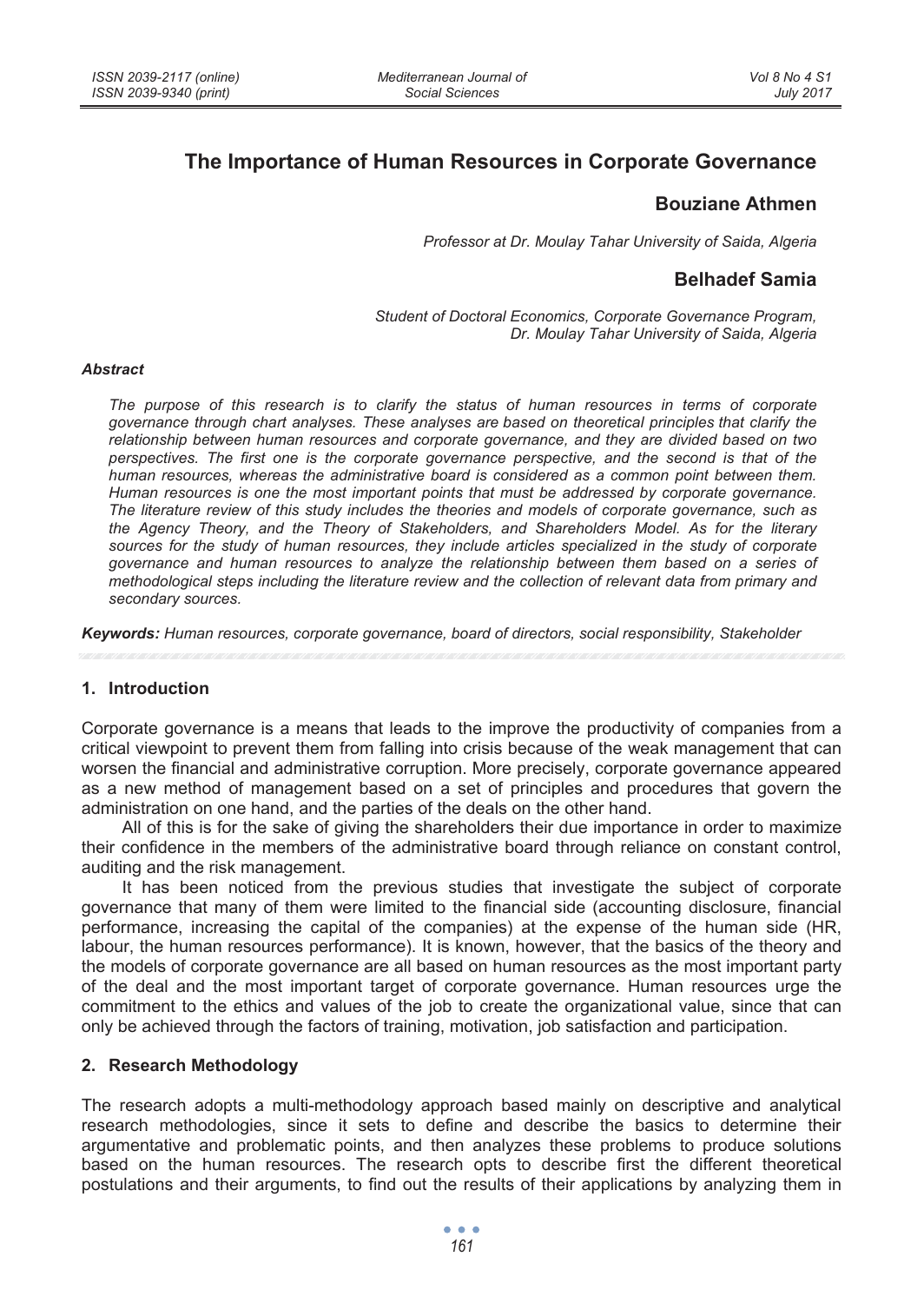# **The Importance of Human Resources in Corporate Governance**

## **Bouziane Athmen**

*Professor at Dr. Moulay Tahar University of Saida, Algeria* 

## **Belhadef Samia**

*Student of Doctoral Economics, Corporate Governance Program, Dr. Moulay Tahar University of Saida, Algeria* 

#### *Abstract*

*The purpose of this research is to clarify the status of human resources in terms of corporate governance through chart analyses. These analyses are based on theoretical principles that clarify the relationship between human resources and corporate governance, and they are divided based on two perspectives. The first one is the corporate governance perspective, and the second is that of the human resources, whereas the administrative board is considered as a common point between them. Human resources is one the most important points that must be addressed by corporate governance. The literature review of this study includes the theories and models of corporate governance, such as the Agency Theory, and the Theory of Stakeholders, and Shareholders Model. As for the literary sources for the study of human resources, they include articles specialized in the study of corporate governance and human resources to analyze the relationship between them based on a series of methodological steps including the literature review and the collection of relevant data from primary and secondary sources.* 

*Keywords: Human resources, corporate governance, board of directors, social responsibility, Stakeholder* 

#### **1. Introduction**

Corporate governance is a means that leads to the improve the productivity of companies from a critical viewpoint to prevent them from falling into crisis because of the weak management that can worsen the financial and administrative corruption. More precisely, corporate governance appeared as a new method of management based on a set of principles and procedures that govern the administration on one hand, and the parties of the deals on the other hand.

All of this is for the sake of giving the shareholders their due importance in order to maximize their confidence in the members of the administrative board through reliance on constant control, auditing and the risk management.

It has been noticed from the previous studies that investigate the subject of corporate governance that many of them were limited to the financial side (accounting disclosure, financial performance, increasing the capital of the companies) at the expense of the human side (HR, labour, the human resources performance). It is known, however, that the basics of the theory and the models of corporate governance are all based on human resources as the most important party of the deal and the most important target of corporate governance. Human resources urge the commitment to the ethics and values of the job to create the organizational value, since that can only be achieved through the factors of training, motivation, job satisfaction and participation.

### **2. Research Methodology**

The research adopts a multi-methodology approach based mainly on descriptive and analytical research methodologies, since it sets to define and describe the basics to determine their argumentative and problematic points, and then analyzes these problems to produce solutions based on the human resources. The research opts to describe first the different theoretical postulations and their arguments, to find out the results of their applications by analyzing them in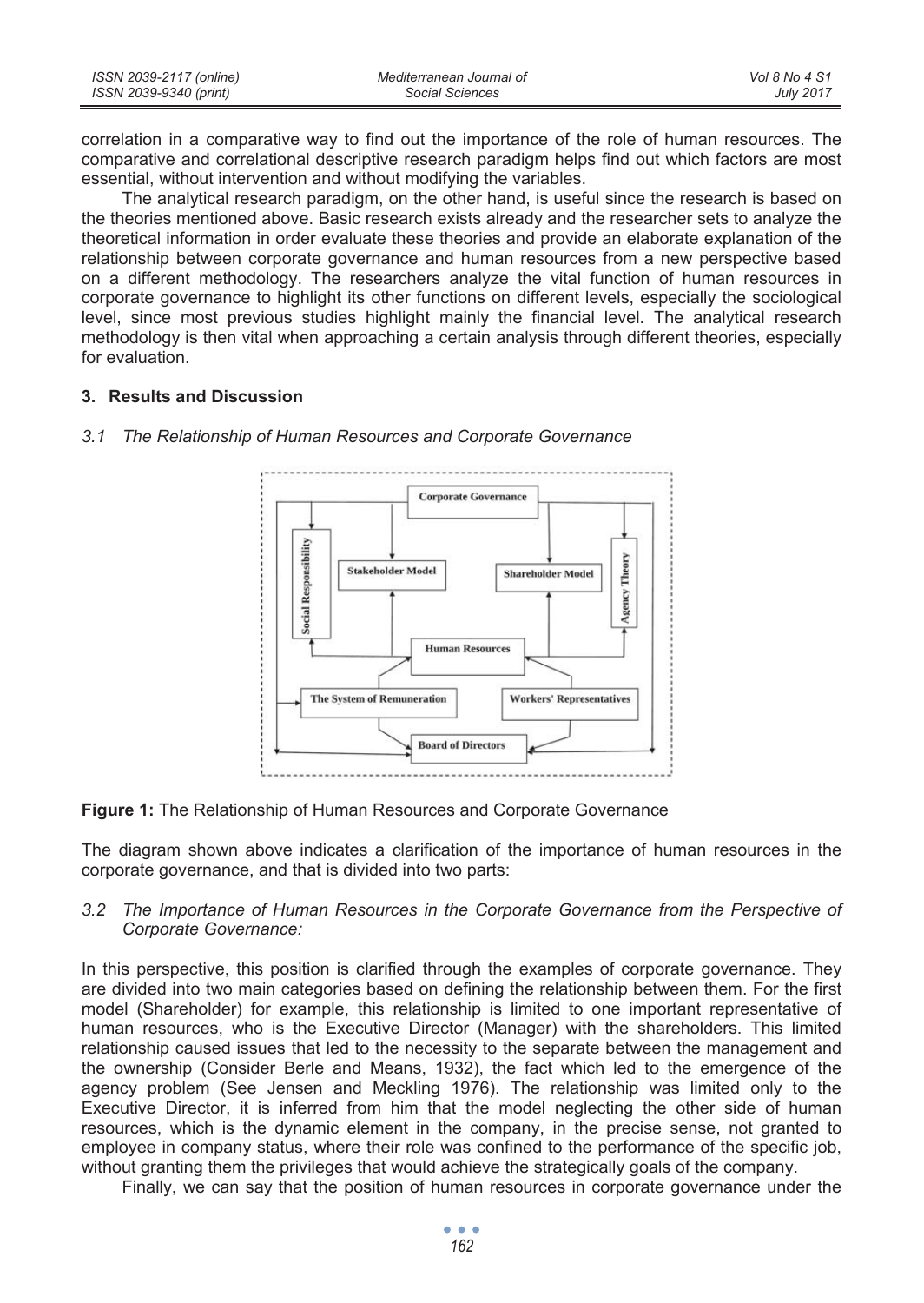| ISSN 2039-2117 (online) | Mediterranean Journal of | Vol 8 No 4 S1    |
|-------------------------|--------------------------|------------------|
| ISSN 2039-9340 (print)  | Social Sciences          | <b>July 2017</b> |

correlation in a comparative way to find out the importance of the role of human resources. The comparative and correlational descriptive research paradigm helps find out which factors are most essential, without intervention and without modifying the variables.

The analytical research paradigm, on the other hand, is useful since the research is based on the theories mentioned above. Basic research exists already and the researcher sets to analyze the theoretical information in order evaluate these theories and provide an elaborate explanation of the relationship between corporate governance and human resources from a new perspective based on a different methodology. The researchers analyze the vital function of human resources in corporate governance to highlight its other functions on different levels, especially the sociological level, since most previous studies highlight mainly the financial level. The analytical research methodology is then vital when approaching a certain analysis through different theories, especially for evaluation.

#### **3. Results and Discussion**



*3.1 The Relationship of Human Resources and Corporate Governance* 

#### **Figure 1:** The Relationship of Human Resources and Corporate Governance

The diagram shown above indicates a clarification of the importance of human resources in the corporate governance, and that is divided into two parts:

#### *3.2 The Importance of Human Resources in the Corporate Governance from the Perspective of Corporate Governance:*

In this perspective, this position is clarified through the examples of corporate governance. They are divided into two main categories based on defining the relationship between them. For the first model (Shareholder) for example, this relationship is limited to one important representative of human resources, who is the Executive Director (Manager) with the shareholders. This limited relationship caused issues that led to the necessity to the separate between the management and the ownership (Consider Berle and Means, 1932), the fact which led to the emergence of the agency problem (See Jensen and Meckling 1976). The relationship was limited only to the Executive Director, it is inferred from him that the model neglecting the other side of human resources, which is the dynamic element in the company, in the precise sense, not granted to employee in company status, where their role was confined to the performance of the specific job, without granting them the privileges that would achieve the strategically goals of the company.

Finally, we can say that the position of human resources in corporate governance under the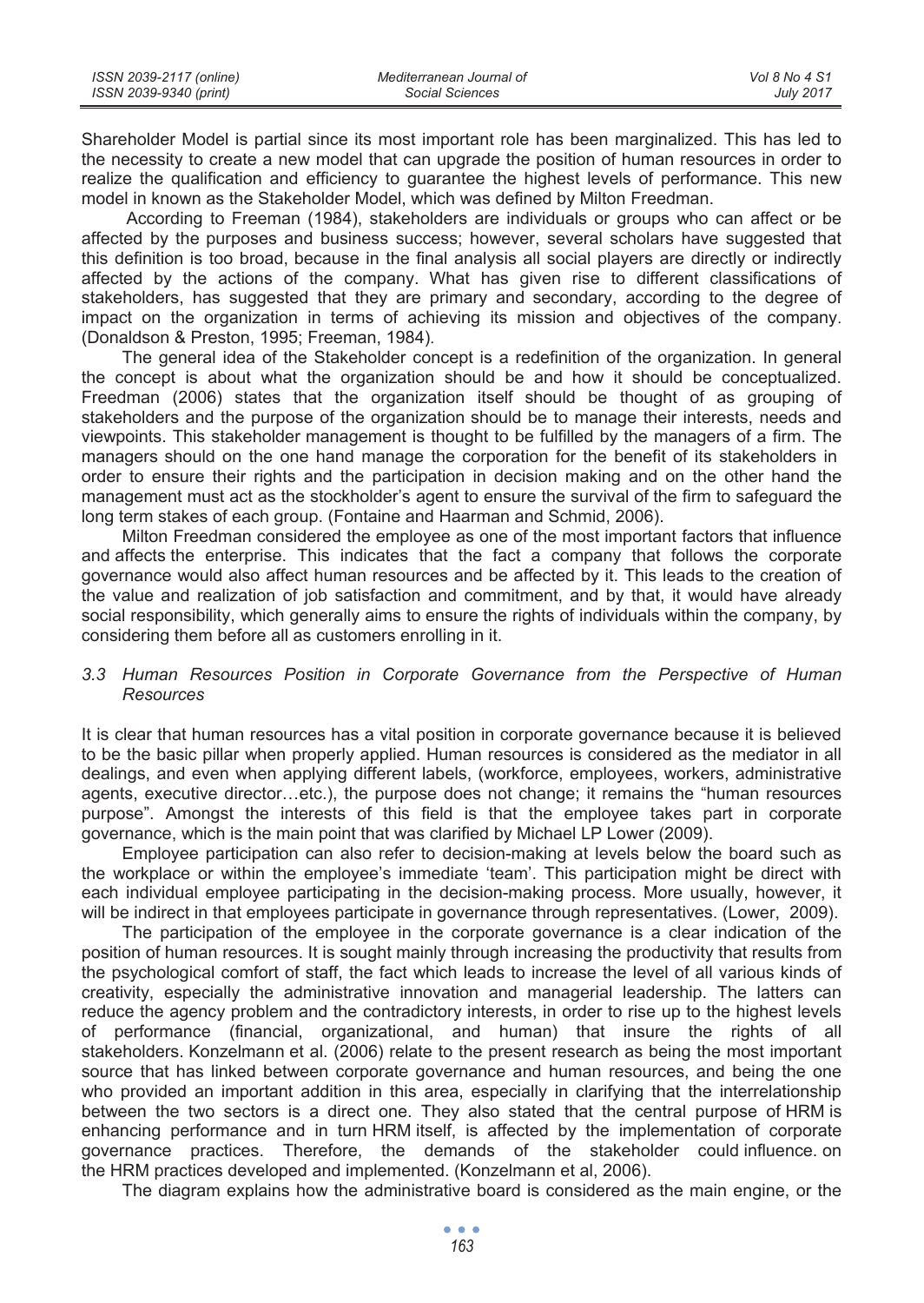| ISSN 2039-2117 (online) | Mediterranean Journal of | Vol 8 No 4 S1    |
|-------------------------|--------------------------|------------------|
| ISSN 2039-9340 (print)  | Social Sciences          | <b>July 2017</b> |

Shareholder Model is partial since its most important role has been marginalized. This has led to the necessity to create a new model that can upgrade the position of human resources in order to realize the qualification and efficiency to guarantee the highest levels of performance. This new model in known as the Stakeholder Model, which was defined by Milton Freedman.

According to Freeman (1984), stakeholders are individuals or groups who can affect or be affected by the purposes and business success; however, several scholars have suggested that this definition is too broad, because in the final analysis all social players are directly or indirectly affected by the actions of the company. What has given rise to different classifications of stakeholders, has suggested that they are primary and secondary, according to the degree of impact on the organization in terms of achieving its mission and objectives of the company. (Donaldson & Preston, 1995; Freeman, 1984).

The general idea of the Stakeholder concept is a redefinition of the organization. In general the concept is about what the organization should be and how it should be conceptualized. Freedman (2006) states that the organization itself should be thought of as grouping of stakeholders and the purpose of the organization should be to manage their interests, needs and viewpoints. This stakeholder management is thought to be fulfilled by the managers of a firm. The managers should on the one hand manage the corporation for the benefit of its stakeholders in order to ensure their rights and the participation in decision making and on the other hand the management must act as the stockholder's agent to ensure the survival of the firm to safeguard the long term stakes of each group. (Fontaine and Haarman and Schmid, 2006).

Milton Freedman considered the employee as one of the most important factors that influence and affects the enterprise. This indicates that the fact a company that follows the corporate governance would also affect human resources and be affected by it. This leads to the creation of the value and realization of job satisfaction and commitment, and by that, it would have already social responsibility, which generally aims to ensure the rights of individuals within the company, by considering them before all as customers enrolling in it.

#### *3.3 Human Resources Position in Corporate Governance from the Perspective of Human Resources*

It is clear that human resources has a vital position in corporate governance because it is believed to be the basic pillar when properly applied. Human resources is considered as the mediator in all dealings, and even when applying different labels, (workforce, employees, workers, administrative agents, executive director…etc.), the purpose does not change; it remains the "human resources purpose". Amongst the interests of this field is that the employee takes part in corporate governance, which is the main point that was clarified by Michael LP Lower (2009).

Employee participation can also refer to decision-making at levels below the board such as the workplace or within the employee's immediate 'team'. This participation might be direct with each individual employee participating in the decision-making process. More usually, however, it will be indirect in that employees participate in governance through representatives. (Lower, 2009).

The participation of the employee in the corporate governance is a clear indication of the position of human resources. It is sought mainly through increasing the productivity that results from the psychological comfort of staff, the fact which leads to increase the level of all various kinds of creativity, especially the administrative innovation and managerial leadership. The latters can reduce the agency problem and the contradictory interests, in order to rise up to the highest levels of performance (financial, organizational, and human) that insure the rights of all stakeholders. Konzelmann et al. (2006) relate to the present research as being the most important source that has linked between corporate governance and human resources, and being the one who provided an important addition in this area, especially in clarifying that the interrelationship between the two sectors is a direct one. They also stated that the central purpose of HRM is enhancing performance and in turn HRM itself, is affected by the implementation of corporate governance practices. Therefore, the demands of the stakeholder could influence. on the HRM practices developed and implemented. (Konzelmann et al, 2006).

The diagram explains how the administrative board is considered as the main engine, or the